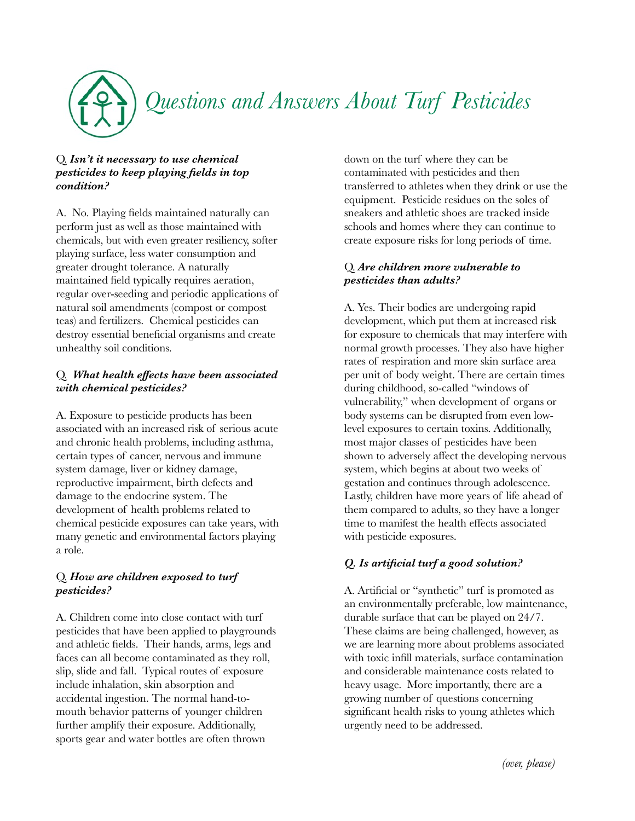

### Q. *Isn't it necessary to use chemical pesticides to keep playing fields in top condition?*

A. No. Playing fields maintained naturally can perform just as well as those maintained with chemicals, but with even greater resiliency, softer playing surface, less water consumption and greater drought tolerance. A naturally maintained field typically requires aeration, regular over-seeding and periodic applications of natural soil amendments (compost or compost teas) and fertilizers. Chemical pesticides can destroy essential beneficial organisms and create unhealthy soil conditions.

### Q. *What health effects have been associated with chemical pesticides?*

A. Exposure to pesticide products has been associated with an increased risk of serious acute and chronic health problems, including asthma, certain types of cancer, nervous and immune system damage, liver or kidney damage, reproductive impairment, birth defects and damage to the endocrine system. The development of health problems related to chemical pesticide exposures can take years, with many genetic and environmental factors playing a role.

### Q. *How are children exposed to turf pesticides?*

A. Children come into close contact with turf pesticides that have been applied to playgrounds and athletic fields. Their hands, arms, legs and faces can all become contaminated as they roll, slip, slide and fall. Typical routes of exposure include inhalation, skin absorption and accidental ingestion. The normal hand-tomouth behavior patterns of younger children further amplify their exposure. Additionally, sports gear and water bottles are often thrown

down on the turf where they can be contaminated with pesticides and then transferred to athletes when they drink or use the equipment. Pesticide residues on the soles of sneakers and athletic shoes are tracked inside schools and homes where they can continue to create exposure risks for long periods of time.

## Q. *Are children more vulnerable to pesticides than adults?*

A. Yes. Their bodies are undergoing rapid development, which put them at increased risk for exposure to chemicals that may interfere with normal growth processes. They also have higher rates of respiration and more skin surface area per unit of body weight. There are certain times during childhood, so-called "windows of vulnerability," when development of organs or body systems can be disrupted from even lowlevel exposures to certain toxins. Additionally, most major classes of pesticides have been shown to adversely affect the developing nervous system, which begins at about two weeks of gestation and continues through adolescence. Lastly, children have more years of life ahead of them compared to adults, so they have a longer time to manifest the health effects associated with pesticide exposures.

# *Q. Is artificial turf a good solution?*

A. Artificial or "synthetic" turf is promoted as an environmentally preferable, low maintenance, durable surface that can be played on 24/7. These claims are being challenged, however, as we are learning more about problems associated with toxic infill materials, surface contamination and considerable maintenance costs related to heavy usage. More importantly, there are a growing number of questions concerning significant health risks to young athletes which urgently need to be addressed.